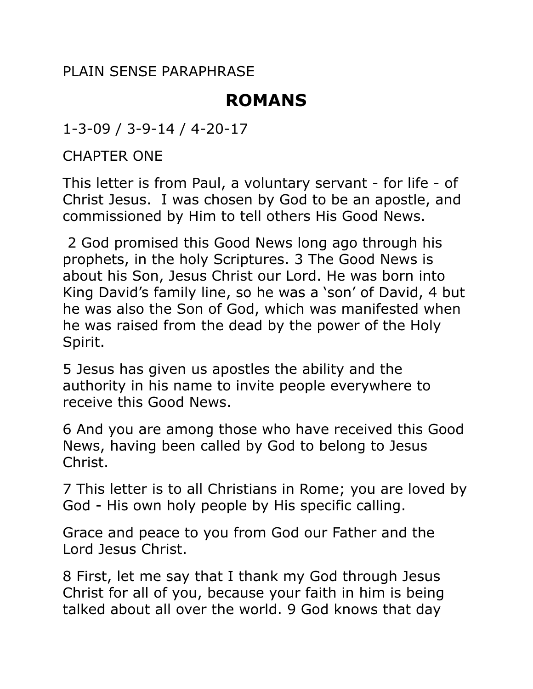PLAIN SENSE PARAPHRASE

# **ROMANS**

1-3-09 / 3-9-14 / 4-20-17

CHAPTER ONE

This letter is from Paul, a voluntary servant - for life - of Christ Jesus. I was chosen by God to be an apostle, and commissioned by Him to tell others His Good News.

 2 God promised this Good News long ago through his prophets, in the holy Scriptures. 3 The Good News is about his Son, Jesus Christ our Lord. He was born into King David's family line, so he was a 'son' of David, 4 but he was also the Son of God, which was manifested when he was raised from the dead by the power of the Holy Spirit.

5 Jesus has given us apostles the ability and the authority in his name to invite people everywhere to receive this Good News.

6 And you are among those who have received this Good News, having been called by God to belong to Jesus Christ.

7 This letter is to all Christians in Rome; you are loved by God - His own holy people by His specific calling.

Grace and peace to you from God our Father and the Lord Jesus Christ.

8 First, let me say that I thank my God through Jesus Christ for all of you, because your faith in him is being talked about all over the world. 9 God knows that day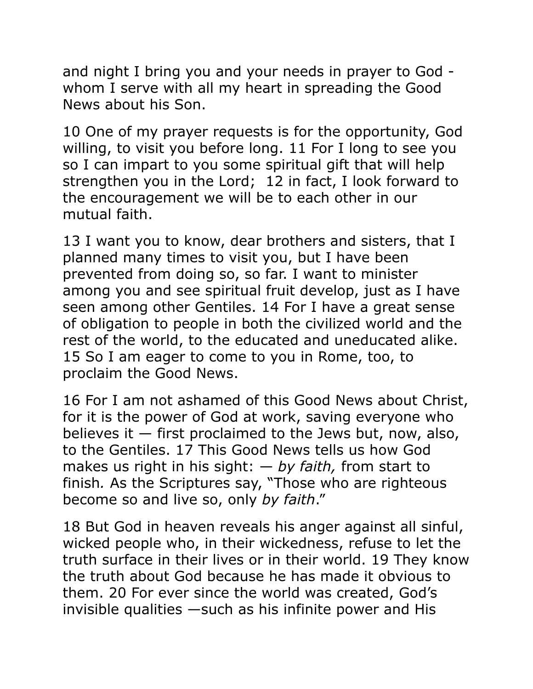and night I bring you and your needs in prayer to God whom I serve with all my heart in spreading the Good News about his Son.

10 One of my prayer requests is for the opportunity, God willing, to visit you before long. 11 For I long to see you so I can impart to you some spiritual gift that will help strengthen you in the Lord; 12 in fact, I look forward to the encouragement we will be to each other in our mutual faith.

13 I want you to know, dear brothers and sisters, that I planned many times to visit you, but I have been prevented from doing so, so far. I want to minister among you and see spiritual fruit develop, just as I have seen among other Gentiles. 14 For I have a great sense of obligation to people in both the civilized world and the rest of the world, to the educated and uneducated alike. 15 So I am eager to come to you in Rome, too, to proclaim the Good News.

16 For I am not ashamed of this Good News about Christ, for it is the power of God at work, saving everyone who believes it  $-$  first proclaimed to the Jews but, now, also, to the Gentiles. 17 This Good News tells us how God makes us right in his sight: — *by faith,* from start to finish*.* As the Scriptures say, "Those who are righteous become so and live so, only *by faith*."

18 But God in heaven reveals his anger against all sinful, wicked people who, in their wickedness, refuse to let the truth surface in their lives or in their world. 19 They know the truth about God because he has made it obvious to them. 20 For ever since the world was created, God's invisible qualities —such as his infinite power and His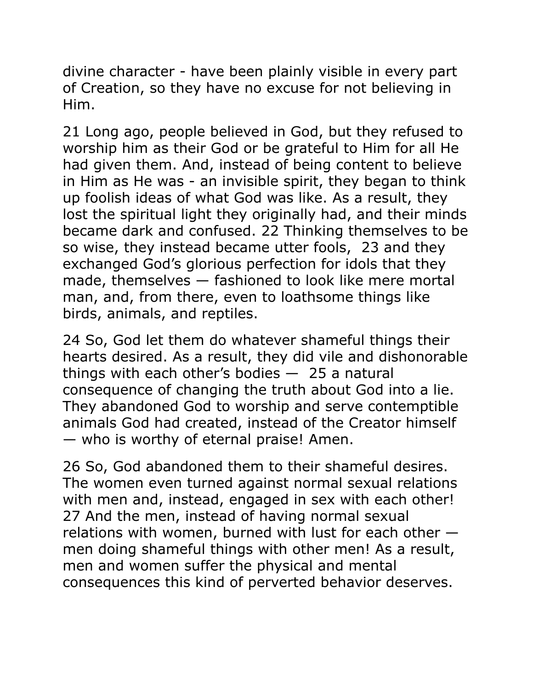divine character - have been plainly visible in every part of Creation, so they have no excuse for not believing in Him.

21 Long ago, people believed in God, but they refused to worship him as their God or be grateful to Him for all He had given them. And, instead of being content to believe in Him as He was - an invisible spirit, they began to think up foolish ideas of what God was like. As a result, they lost the spiritual light they originally had, and their minds became dark and confused. 22 Thinking themselves to be so wise, they instead became utter fools, 23 and they exchanged God's glorious perfection for idols that they made, themselves — fashioned to look like mere mortal man, and, from there, even to loathsome things like birds, animals, and reptiles.

24 So, God let them do whatever shameful things their hearts desired. As a result, they did vile and dishonorable things with each other's bodies  $-25$  a natural consequence of changing the truth about God into a lie. They abandoned God to worship and serve contemptible animals God had created, instead of the Creator himself — who is worthy of eternal praise! Amen.

26 So, God abandoned them to their shameful desires. The women even turned against normal sexual relations with men and, instead, engaged in sex with each other! 27 And the men, instead of having normal sexual relations with women, burned with lust for each other men doing shameful things with other men! As a result, men and women suffer the physical and mental consequences this kind of perverted behavior deserves.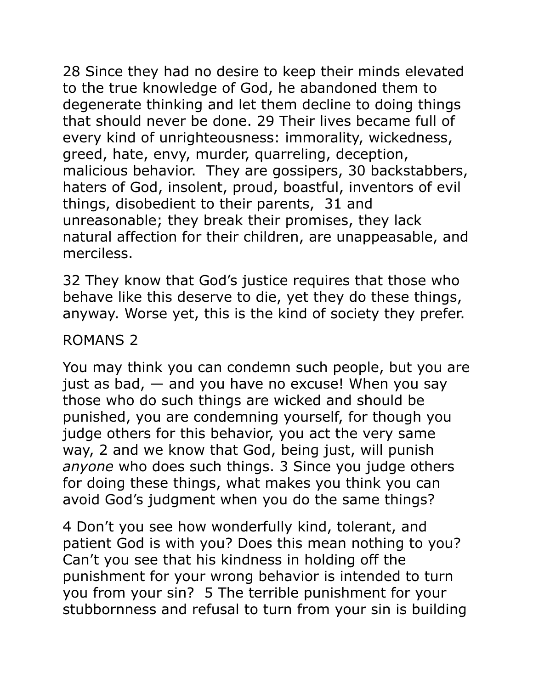28 Since they had no desire to keep their minds elevated to the true knowledge of God, he abandoned them to degenerate thinking and let them decline to doing things that should never be done. 29 Their lives became full of every kind of unrighteousness: immorality, wickedness, greed, hate, envy, murder, quarreling, deception, malicious behavior. They are gossipers, 30 backstabbers, haters of God, insolent, proud, boastful, inventors of evil things, disobedient to their parents, 31 and unreasonable; they break their promises, they lack natural affection for their children, are unappeasable, and merciless.

32 They know that God's justice requires that those who behave like this deserve to die, yet they do these things, anyway. Worse yet, this is the kind of society they prefer.

### ROMANS 2

You may think you can condemn such people, but you are just as bad,  $-$  and you have no excuse! When you say those who do such things are wicked and should be punished, you are condemning yourself, for though you judge others for this behavior, you act the very same way, 2 and we know that God, being just, will punish *anyone* who does such things. 3 Since you judge others for doing these things, what makes you think you can avoid God's judgment when you do the same things?

4 Don't you see how wonderfully kind, tolerant, and patient God is with you? Does this mean nothing to you? Can't you see that his kindness in holding off the punishment for your wrong behavior is intended to turn you from your sin? 5 The terrible punishment for your stubbornness and refusal to turn from your sin is building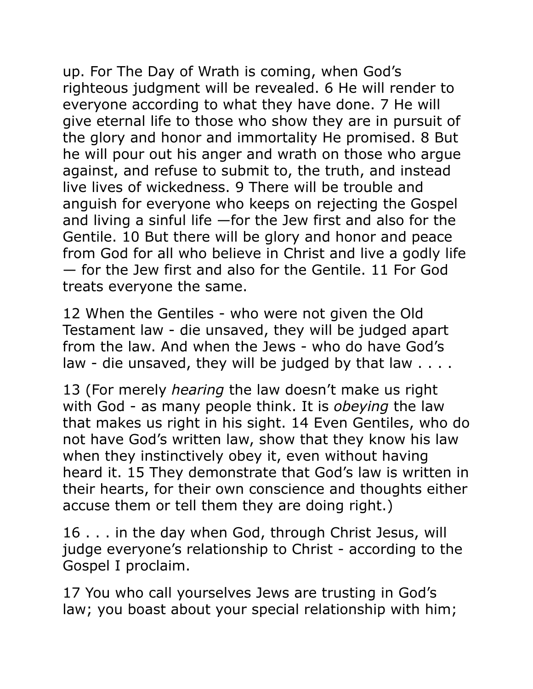up. For The Day of Wrath is coming, when God's righteous judgment will be revealed. 6 He will render to everyone according to what they have done. 7 He will give eternal life to those who show they are in pursuit of the glory and honor and immortality He promised. 8 But he will pour out his anger and wrath on those who argue against, and refuse to submit to, the truth, and instead live lives of wickedness. 9 There will be trouble and anguish for everyone who keeps on rejecting the Gospel and living a sinful life —for the Jew first and also for the Gentile. 10 But there will be glory and honor and peace from God for all who believe in Christ and live a godly life — for the Jew first and also for the Gentile. 11 For God treats everyone the same.

12 When the Gentiles - who were not given the Old Testament law - die unsaved, they will be judged apart from the law. And when the Jews - who do have God's law - die unsaved, they will be judged by that law . . . .

13 (For merely *hearing* the law doesn't make us right with God - as many people think. It is *obeying* the law that makes us right in his sight. 14 Even Gentiles, who do not have God's written law, show that they know his law when they instinctively obey it, even without having heard it. 15 They demonstrate that God's law is written in their hearts, for their own conscience and thoughts either accuse them or tell them they are doing right.)

16 . . . in the day when God, through Christ Jesus, will judge everyone's relationship to Christ - according to the Gospel I proclaim.

17 You who call yourselves Jews are trusting in God's law; you boast about your special relationship with him;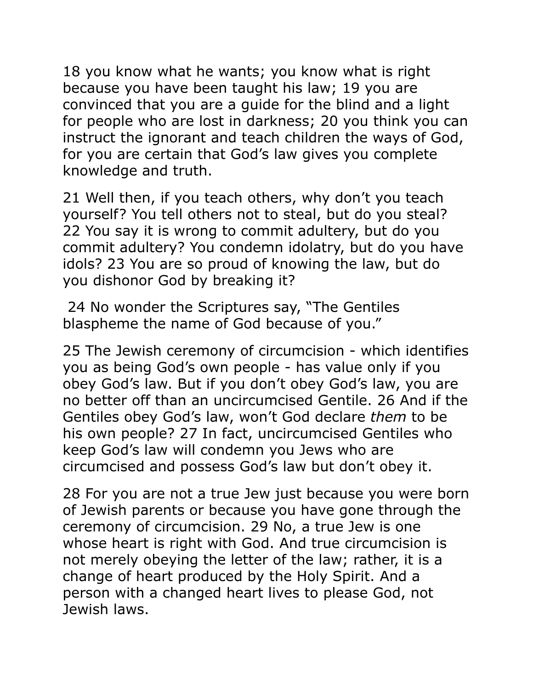18 you know what he wants; you know what is right because you have been taught his law; 19 you are convinced that you are a guide for the blind and a light for people who are lost in darkness; 20 you think you can instruct the ignorant and teach children the ways of God, for you are certain that God's law gives you complete knowledge and truth.

21 Well then, if you teach others, why don't you teach yourself? You tell others not to steal, but do you steal? 22 You say it is wrong to commit adultery, but do you commit adultery? You condemn idolatry, but do you have idols? 23 You are so proud of knowing the law, but do you dishonor God by breaking it?

 24 No wonder the Scriptures say, "The Gentiles blaspheme the name of God because of you."

25 The Jewish ceremony of circumcision - which identifies you as being God's own people - has value only if you obey God's law. But if you don't obey God's law, you are no better off than an uncircumcised Gentile. 26 And if the Gentiles obey God's law, won't God declare *them* to be his own people? 27 In fact, uncircumcised Gentiles who keep God's law will condemn you Jews who are circumcised and possess God's law but don't obey it.

28 For you are not a true Jew just because you were born of Jewish parents or because you have gone through the ceremony of circumcision. 29 No, a true Jew is one whose heart is right with God. And true circumcision is not merely obeying the letter of the law; rather, it is a change of heart produced by the Holy Spirit. And a person with a changed heart lives to please God, not Jewish laws.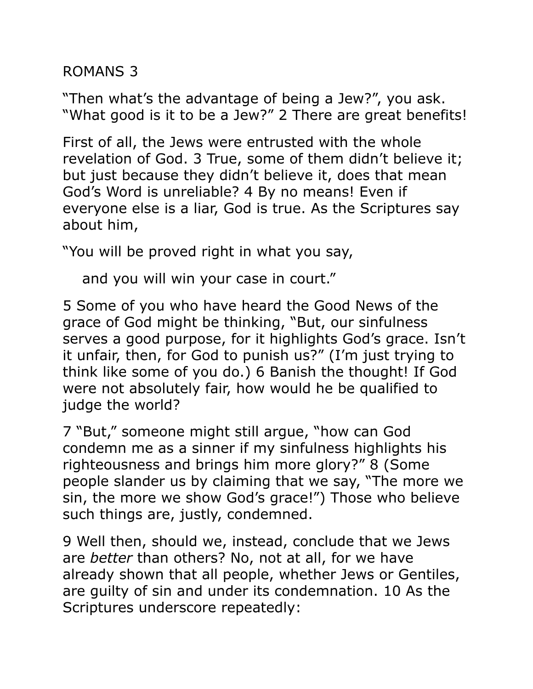ROMANS 3

"Then what's the advantage of being a Jew?", you ask. "What good is it to be a Jew?" 2 There are great benefits!

First of all, the Jews were entrusted with the whole revelation of God. 3 True, some of them didn't believe it; but just because they didn't believe it, does that mean God's Word is unreliable? 4 By no means! Even if everyone else is a liar, God is true. As the Scriptures say about him,

"You will be proved right in what you say,

and you will win your case in court."

5 Some of you who have heard the Good News of the grace of God might be thinking, "But, our sinfulness serves a good purpose, for it highlights God's grace. Isn't it unfair, then, for God to punish us?" (I'm just trying to think like some of you do.) 6 Banish the thought! If God were not absolutely fair, how would he be qualified to judge the world?

7 "But," someone might still argue, "how can God condemn me as a sinner if my sinfulness highlights his righteousness and brings him more glory?" 8 (Some people slander us by claiming that we say, "The more we sin, the more we show God's grace!") Those who believe such things are, justly, condemned.

9 Well then, should we, instead, conclude that we Jews are *better* than others? No, not at all, for we have already shown that all people, whether Jews or Gentiles, are guilty of sin and under its condemnation. 10 As the Scriptures underscore repeatedly: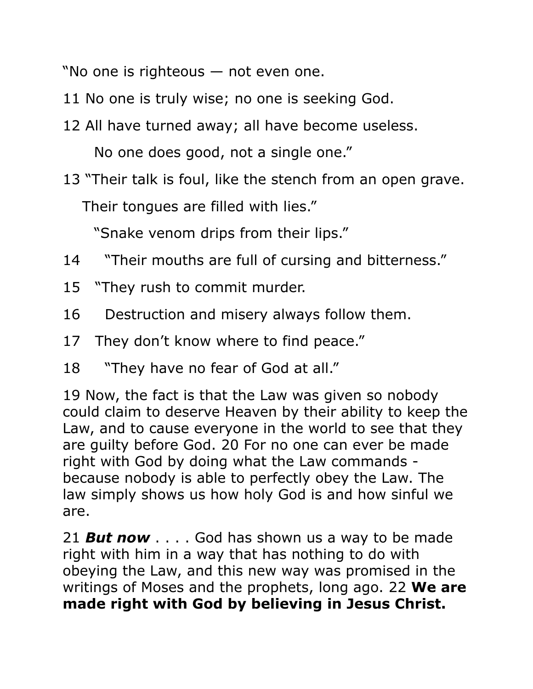"No one is righteous — not even one.

- 11 No one is truly wise; no one is seeking God.
- 12 All have turned away; all have become useless.

No one does good, not a single one."

13 "Their talk is foul, like the stench from an open grave. Their tongues are filled with lies."

"Snake venom drips from their lips."

- 14 "Their mouths are full of cursing and bitterness."
- 15 "They rush to commit murder.
- 16 Destruction and misery always follow them.
- 17 They don't know where to find peace."
- 18 "They have no fear of God at all."

19 Now, the fact is that the Law was given so nobody could claim to deserve Heaven by their ability to keep the Law, and to cause everyone in the world to see that they are guilty before God. 20 For no one can ever be made right with God by doing what the Law commands because nobody is able to perfectly obey the Law. The law simply shows us how holy God is and how sinful we are.

21 *But now* . . . . God has shown us a way to be made right with him in a way that has nothing to do with obeying the Law, and this new way was promised in the writings of Moses and the prophets, long ago. 22 **We are made right with God by believing in Jesus Christ.**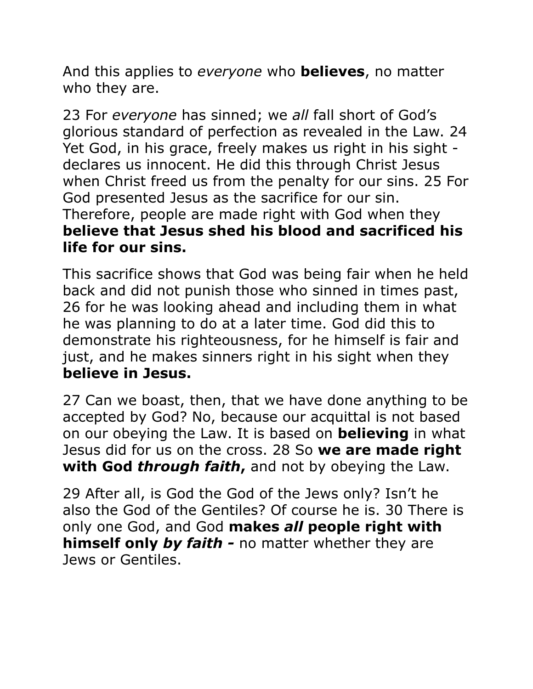And this applies to *everyone* who **believes**, no matter who they are.

23 For *everyone* has sinned; we *all* fall short of God's glorious standard of perfection as revealed in the Law. 24 Yet God, in his grace, freely makes us right in his sight declares us innocent. He did this through Christ Jesus when Christ freed us from the penalty for our sins. 25 For God presented Jesus as the sacrifice for our sin. Therefore, people are made right with God when they **believe that Jesus shed his blood and sacrificed his life for our sins.** 

This sacrifice shows that God was being fair when he held back and did not punish those who sinned in times past, 26 for he was looking ahead and including them in what he was planning to do at a later time. God did this to demonstrate his righteousness, for he himself is fair and just, and he makes sinners right in his sight when they **believe in Jesus.**

27 Can we boast, then, that we have done anything to be accepted by God? No, because our acquittal is not based on our obeying the Law. It is based on **believing** in what Jesus did for us on the cross. 28 So **we are made right with God** *through faith***,** and not by obeying the Law.

29 After all, is God the God of the Jews only? Isn't he also the God of the Gentiles? Of course he is. 30 There is only one God, and God **makes** *all* **people right with himself only** *by faith -* no matter whether they are Jews or Gentiles.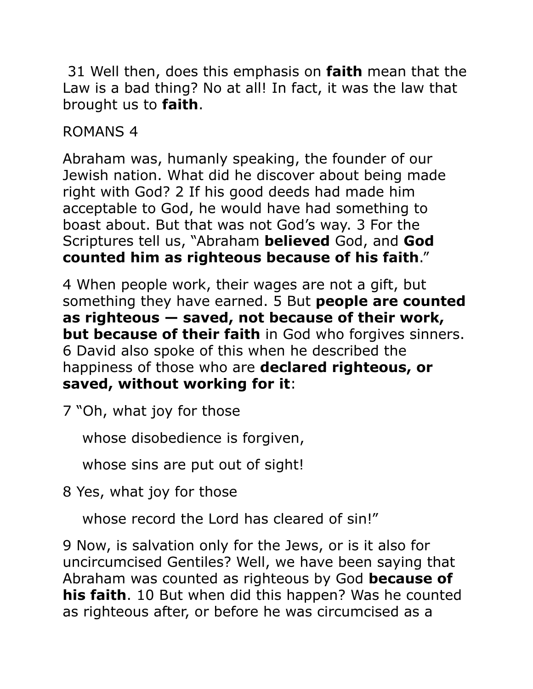31 Well then, does this emphasis on **faith** mean that the Law is a bad thing? No at all! In fact, it was the law that brought us to **faith**.

ROMANS 4

Abraham was, humanly speaking, the founder of our Jewish nation. What did he discover about being made right with God? 2 If his good deeds had made him acceptable to God, he would have had something to boast about. But that was not God's way. 3 For the Scriptures tell us, "Abraham **believed** God, and **God counted him as righteous because of his faith**."

4 When people work, their wages are not a gift, but something they have earned. 5 But **people are counted as righteous — saved, not because of their work, but because of their faith** in God who forgives sinners. 6 David also spoke of this when he described the happiness of those who are **declared righteous, or saved, without working for it**:

7 "Oh, what joy for those

whose disobedience is forgiven,

whose sins are put out of sight!

8 Yes, what joy for those

whose record the Lord has cleared of sin!"

9 Now, is salvation only for the Jews, or is it also for uncircumcised Gentiles? Well, we have been saying that Abraham was counted as righteous by God **because of his faith**. 10 But when did this happen? Was he counted as righteous after, or before he was circumcised as a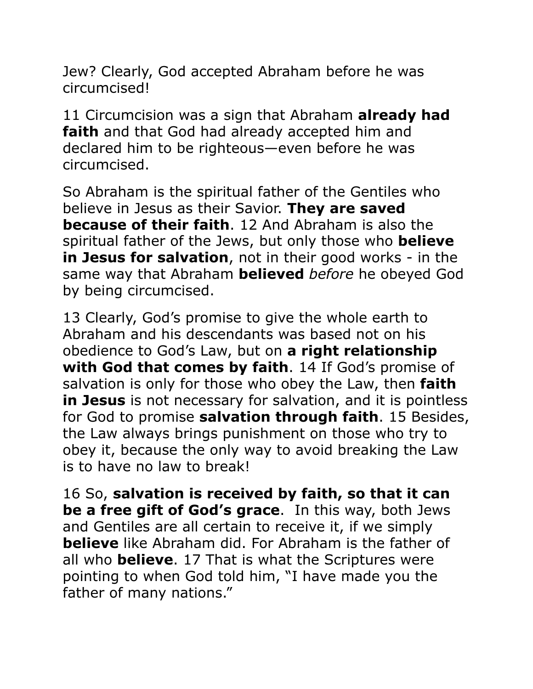Jew? Clearly, God accepted Abraham before he was circumcised!

11 Circumcision was a sign that Abraham **already had faith** and that God had already accepted him and declared him to be righteous—even before he was circumcised.

So Abraham is the spiritual father of the Gentiles who believe in Jesus as their Savior. **They are saved because of their faith**. 12 And Abraham is also the spiritual father of the Jews, but only those who **believe in Jesus for salvation**, not in their good works - in the same way that Abraham **believed** *before* he obeyed God by being circumcised.

13 Clearly, God's promise to give the whole earth to Abraham and his descendants was based not on his obedience to God's Law, but on **a right relationship with God that comes by faith**. 14 If God's promise of salvation is only for those who obey the Law, then **faith in Jesus** is not necessary for salvation, and it is pointless for God to promise **salvation through faith**. 15 Besides, the Law always brings punishment on those who try to obey it, because the only way to avoid breaking the Law is to have no law to break!

16 So, **salvation is received by faith, so that it can be a free gift of God's grace**. In this way, both Jews and Gentiles are all certain to receive it, if we simply **believe** like Abraham did. For Abraham is the father of all who **believe**. 17 That is what the Scriptures were pointing to when God told him, "I have made you the father of many nations."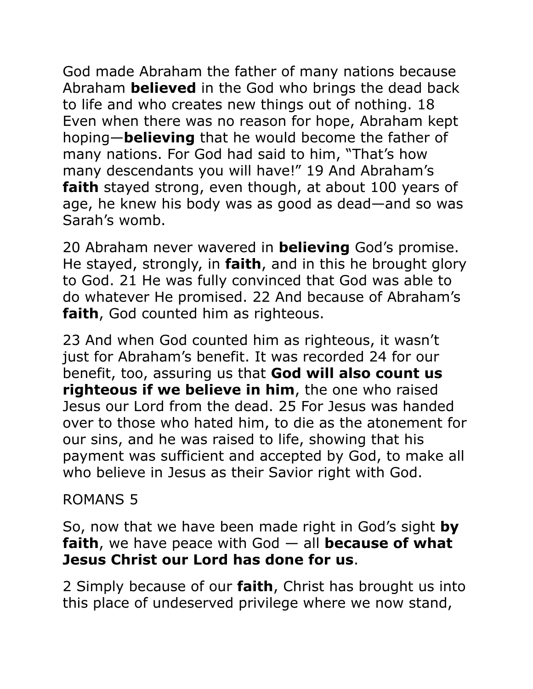God made Abraham the father of many nations because Abraham **believed** in the God who brings the dead back to life and who creates new things out of nothing. 18 Even when there was no reason for hope, Abraham kept hoping—**believing** that he would become the father of many nations. For God had said to him, "That's how many descendants you will have!" 19 And Abraham's **faith** stayed strong, even though, at about 100 years of age, he knew his body was as good as dead—and so was Sarah's womb.

20 Abraham never wavered in **believing** God's promise. He stayed, strongly, in **faith**, and in this he brought glory to God. 21 He was fully convinced that God was able to do whatever He promised. 22 And because of Abraham's **faith**, God counted him as righteous.

23 And when God counted him as righteous, it wasn't just for Abraham's benefit. It was recorded 24 for our benefit, too, assuring us that **God will also count us righteous if we believe in him**, the one who raised Jesus our Lord from the dead. 25 For Jesus was handed over to those who hated him, to die as the atonement for our sins, and he was raised to life, showing that his payment was sufficient and accepted by God, to make all who believe in Jesus as their Savior right with God.

## ROMANS 5

So, now that we have been made right in God's sight **by faith**, we have peace with God — all **because of what Jesus Christ our Lord has done for us**.

2 Simply because of our **faith**, Christ has brought us into this place of undeserved privilege where we now stand,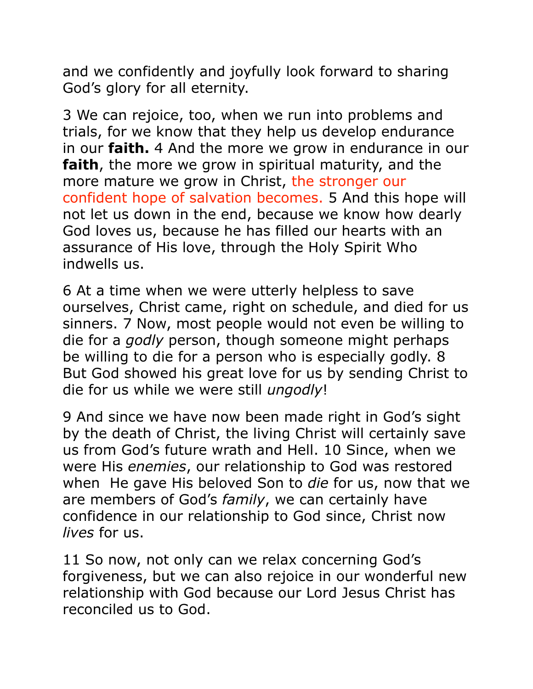and we confidently and joyfully look forward to sharing God's glory for all eternity.

3 We can rejoice, too, when we run into problems and trials, for we know that they help us develop endurance in our **faith.** 4 And the more we grow in endurance in our **faith**, the more we grow in spiritual maturity, and the more mature we grow in Christ, the stronger our confident hope of salvation becomes. 5 And this hope will not let us down in the end, because we know how dearly God loves us, because he has filled our hearts with an assurance of His love, through the Holy Spirit Who indwells us.

6 At a time when we were utterly helpless to save ourselves, Christ came, right on schedule, and died for us sinners. 7 Now, most people would not even be willing to die for a *godly* person, though someone might perhaps be willing to die for a person who is especially godly. 8 But God showed his great love for us by sending Christ to die for us while we were still *ungodly*!

9 And since we have now been made right in God's sight by the death of Christ, the living Christ will certainly save us from God's future wrath and Hell. 10 Since, when we were His *enemies*, our relationship to God was restored when He gave His beloved Son to *die* for us, now that we are members of God's *family*, we can certainly have confidence in our relationship to God since, Christ now *lives* for us.

11 So now, not only can we relax concerning God's forgiveness, but we can also rejoice in our wonderful new relationship with God because our Lord Jesus Christ has reconciled us to God.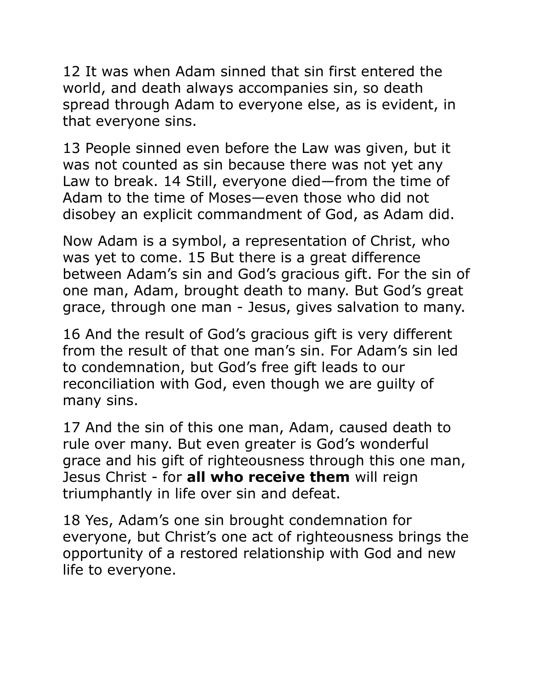12 It was when Adam sinned that sin first entered the world, and death always accompanies sin, so death spread through Adam to everyone else, as is evident, in that everyone sins.

13 People sinned even before the Law was given, but it was not counted as sin because there was not yet any Law to break. 14 Still, everyone died—from the time of Adam to the time of Moses—even those who did not disobey an explicit commandment of God, as Adam did.

Now Adam is a symbol, a representation of Christ, who was yet to come. 15 But there is a great difference between Adam's sin and God's gracious gift. For the sin of one man, Adam, brought death to many. But God's great grace, through one man - Jesus, gives salvation to many.

16 And the result of God's gracious gift is very different from the result of that one man's sin. For Adam's sin led to condemnation, but God's free gift leads to our reconciliation with God, even though we are guilty of many sins.

17 And the sin of this one man, Adam, caused death to rule over many. But even greater is God's wonderful grace and his gift of righteousness through this one man, Jesus Christ - for **all who receive them** will reign triumphantly in life over sin and defeat.

18 Yes, Adam's one sin brought condemnation for everyone, but Christ's one act of righteousness brings the opportunity of a restored relationship with God and new life to everyone.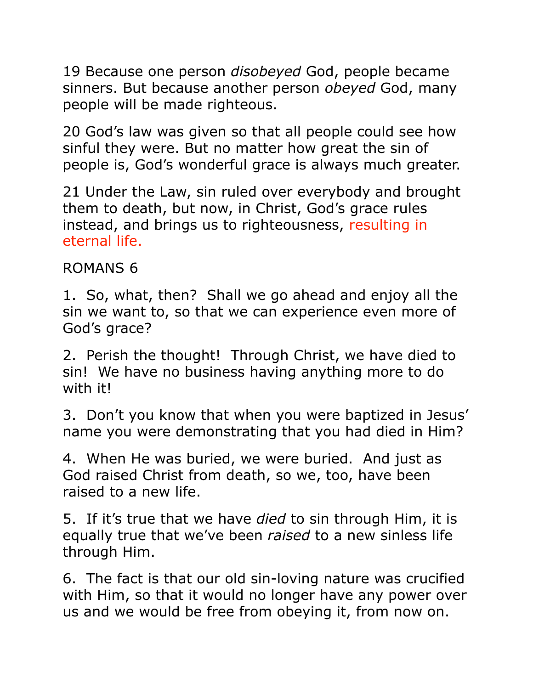19 Because one person *disobeyed* God, people became sinners. But because another person *obeyed* God, many people will be made righteous.

20 God's law was given so that all people could see how sinful they were. But no matter how great the sin of people is, God's wonderful grace is always much greater.

21 Under the Law, sin ruled over everybody and brought them to death, but now, in Christ, God's grace rules instead, and brings us to righteousness, resulting in eternal life.

## ROMANS 6

1. So, what, then? Shall we go ahead and enjoy all the sin we want to, so that we can experience even more of God's grace?

2. Perish the thought! Through Christ, we have died to sin! We have no business having anything more to do with it!

3. Don't you know that when you were baptized in Jesus' name you were demonstrating that you had died in Him?

4. When He was buried, we were buried. And just as God raised Christ from death, so we, too, have been raised to a new life.

5. If it's true that we have *died* to sin through Him, it is equally true that we've been *raised* to a new sinless life through Him.

6. The fact is that our old sin-loving nature was crucified with Him, so that it would no longer have any power over us and we would be free from obeying it, from now on.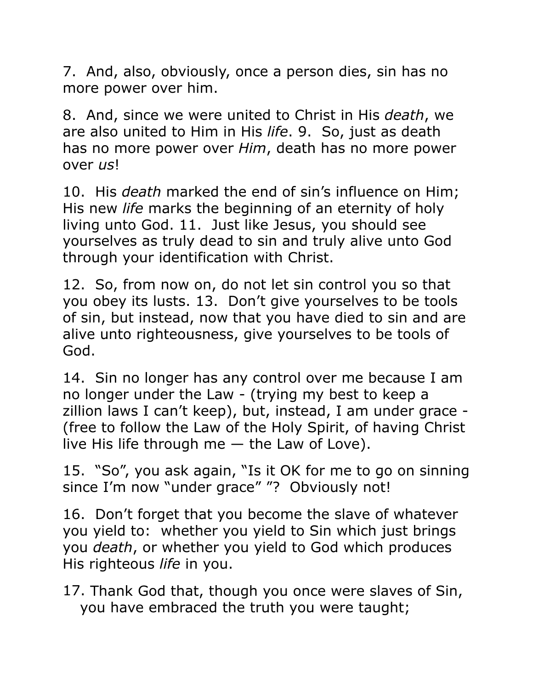7. And, also, obviously, once a person dies, sin has no more power over him.

8. And, since we were united to Christ in His *death*, we are also united to Him in His *life*. 9. So, just as death has no more power over *Him*, death has no more power over *us*!

10. His *death* marked the end of sin's influence on Him; His new *life* marks the beginning of an eternity of holy living unto God. 11. Just like Jesus, you should see yourselves as truly dead to sin and truly alive unto God through your identification with Christ.

12. So, from now on, do not let sin control you so that you obey its lusts. 13. Don't give yourselves to be tools of sin, but instead, now that you have died to sin and are alive unto righteousness, give yourselves to be tools of God.

14. Sin no longer has any control over me because I am no longer under the Law - (trying my best to keep a zillion laws I can't keep), but, instead, I am under grace - (free to follow the Law of the Holy Spirit, of having Christ live His life through me  $-$  the Law of Love).

15. "So", you ask again, "Is it OK for me to go on sinning since I'm now "under grace" "? Obviously not!

16. Don't forget that you become the slave of whatever you yield to: whether you yield to Sin which just brings you *death*, or whether you yield to God which produces His righteous *life* in you.

17. Thank God that, though you once were slaves of Sin, you have embraced the truth you were taught;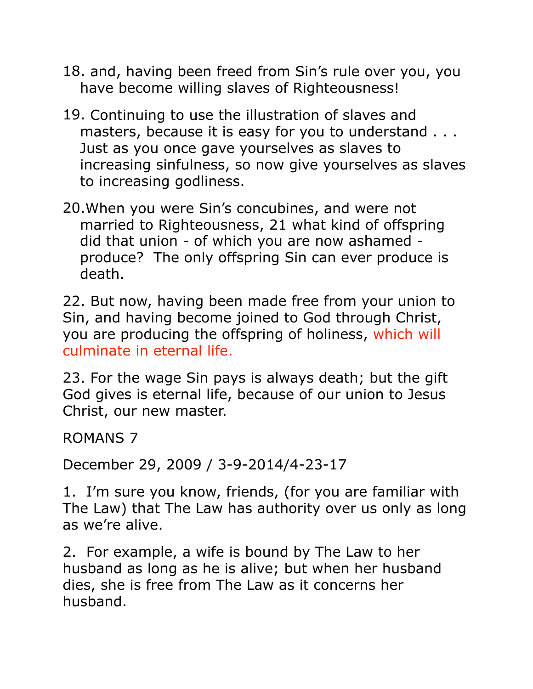- 18. and, having been freed from Sin's rule over you, you have become willing slaves of Righteousness!
- 19. Continuing to use the illustration of slaves and masters, because it is easy for you to understand . . . Just as you once gave yourselves as slaves to increasing sinfulness, so now give yourselves as slaves to increasing godliness.
- 20.When you were Sin's concubines, and were not married to Righteousness, 21 what kind of offspring did that union - of which you are now ashamed produce? The only offspring Sin can ever produce is death.

22. But now, having been made free from your union to Sin, and having become joined to God through Christ, you are producing the offspring of holiness, which will culminate in eternal life.

23. For the wage Sin pays is always death; but the gift God gives is eternal life, because of our union to Jesus Christ, our new master.

ROMANS 7

December 29, 2009 / 3-9-2014/4-23-17

1. I'm sure you know, friends, (for you are familiar with The Law) that The Law has authority over us only as long as we're alive.

2. For example, a wife is bound by The Law to her husband as long as he is alive; but when her husband dies, she is free from The Law as it concerns her husband.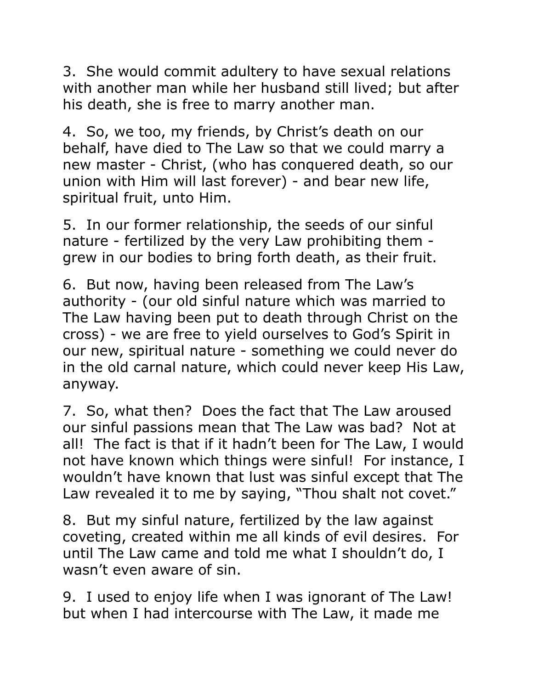3. She would commit adultery to have sexual relations with another man while her husband still lived; but after his death, she is free to marry another man.

4. So, we too, my friends, by Christ's death on our behalf, have died to The Law so that we could marry a new master - Christ, (who has conquered death, so our union with Him will last forever) - and bear new life, spiritual fruit, unto Him.

5. In our former relationship, the seeds of our sinful nature - fertilized by the very Law prohibiting them grew in our bodies to bring forth death, as their fruit.

6. But now, having been released from The Law's authority - (our old sinful nature which was married to The Law having been put to death through Christ on the cross) - we are free to yield ourselves to God's Spirit in our new, spiritual nature - something we could never do in the old carnal nature, which could never keep His Law, anyway.

7. So, what then? Does the fact that The Law aroused our sinful passions mean that The Law was bad? Not at all! The fact is that if it hadn't been for The Law, I would not have known which things were sinful! For instance, I wouldn't have known that lust was sinful except that The Law revealed it to me by saying, "Thou shalt not covet."

8. But my sinful nature, fertilized by the law against coveting, created within me all kinds of evil desires. For until The Law came and told me what I shouldn't do, I wasn't even aware of sin.

9. I used to enjoy life when I was ignorant of The Law! but when I had intercourse with The Law, it made me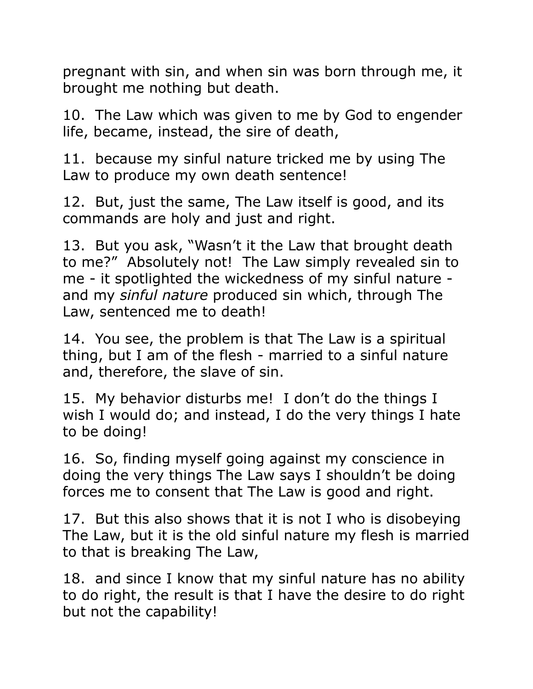pregnant with sin, and when sin was born through me, it brought me nothing but death.

10. The Law which was given to me by God to engender life, became, instead, the sire of death,

11. because my sinful nature tricked me by using The Law to produce my own death sentence!

12. But, just the same, The Law itself is good, and its commands are holy and just and right.

13. But you ask, "Wasn't it the Law that brought death to me?" Absolutely not! The Law simply revealed sin to me - it spotlighted the wickedness of my sinful nature and my *sinful nature* produced sin which, through The Law, sentenced me to death!

14. You see, the problem is that The Law is a spiritual thing, but I am of the flesh - married to a sinful nature and, therefore, the slave of sin.

15. My behavior disturbs me! I don't do the things I wish I would do; and instead, I do the very things I hate to be doing!

16. So, finding myself going against my conscience in doing the very things The Law says I shouldn't be doing forces me to consent that The Law is good and right.

17. But this also shows that it is not I who is disobeying The Law, but it is the old sinful nature my flesh is married to that is breaking The Law,

18. and since I know that my sinful nature has no ability to do right, the result is that I have the desire to do right but not the capability!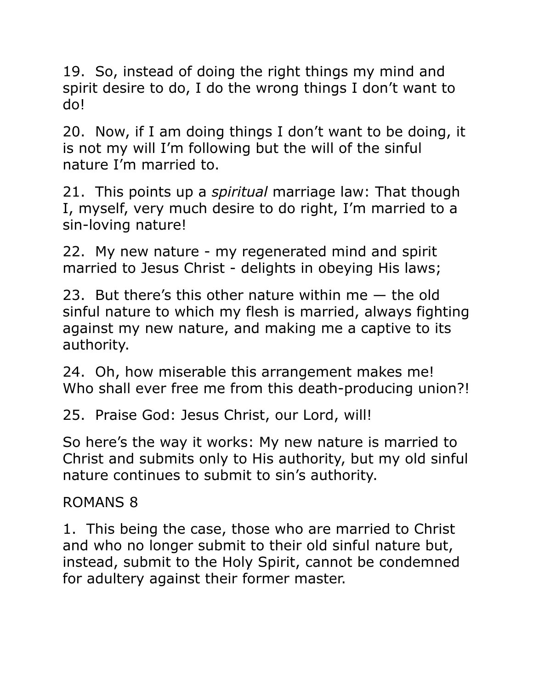19. So, instead of doing the right things my mind and spirit desire to do, I do the wrong things I don't want to do!

20. Now, if I am doing things I don't want to be doing, it is not my will I'm following but the will of the sinful nature I'm married to.

21. This points up a *spiritual* marriage law: That though I, myself, very much desire to do right, I'm married to a sin-loving nature!

22. My new nature - my regenerated mind and spirit married to Jesus Christ - delights in obeying His laws;

23. But there's this other nature within me — the old sinful nature to which my flesh is married, always fighting against my new nature, and making me a captive to its authority.

24. Oh, how miserable this arrangement makes me! Who shall ever free me from this death-producing union?!

25. Praise God: Jesus Christ, our Lord, will!

So here's the way it works: My new nature is married to Christ and submits only to His authority, but my old sinful nature continues to submit to sin's authority.

#### ROMANS 8

1. This being the case, those who are married to Christ and who no longer submit to their old sinful nature but, instead, submit to the Holy Spirit, cannot be condemned for adultery against their former master.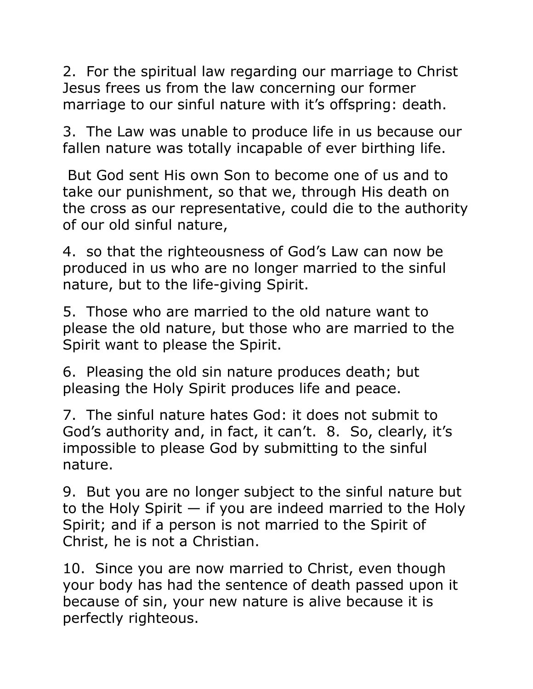2. For the spiritual law regarding our marriage to Christ Jesus frees us from the law concerning our former marriage to our sinful nature with it's offspring: death.

3. The Law was unable to produce life in us because our fallen nature was totally incapable of ever birthing life.

 But God sent His own Son to become one of us and to take our punishment, so that we, through His death on the cross as our representative, could die to the authority of our old sinful nature,

4. so that the righteousness of God's Law can now be produced in us who are no longer married to the sinful nature, but to the life-giving Spirit.

5. Those who are married to the old nature want to please the old nature, but those who are married to the Spirit want to please the Spirit.

6. Pleasing the old sin nature produces death; but pleasing the Holy Spirit produces life and peace.

7. The sinful nature hates God: it does not submit to God's authority and, in fact, it can't. 8. So, clearly, it's impossible to please God by submitting to the sinful nature.

9. But you are no longer subject to the sinful nature but to the Holy Spirit  $-$  if you are indeed married to the Holy Spirit; and if a person is not married to the Spirit of Christ, he is not a Christian.

10. Since you are now married to Christ, even though your body has had the sentence of death passed upon it because of sin, your new nature is alive because it is perfectly righteous.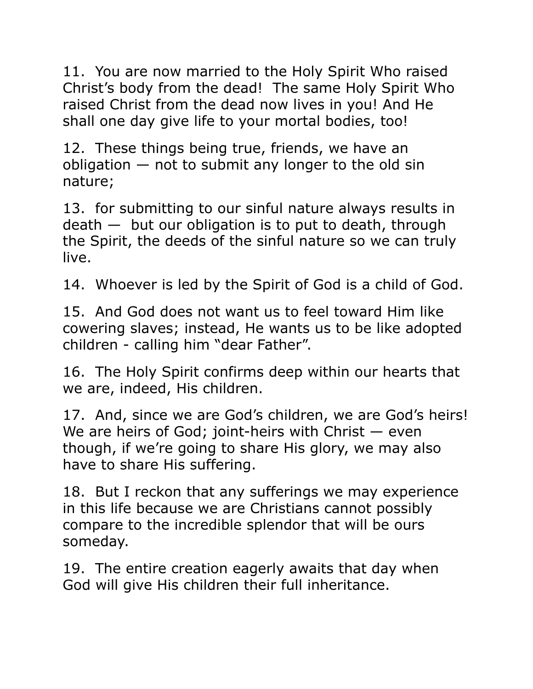11. You are now married to the Holy Spirit Who raised Christ's body from the dead! The same Holy Spirit Who raised Christ from the dead now lives in you! And He shall one day give life to your mortal bodies, too!

12. These things being true, friends, we have an obligation  $-$  not to submit any longer to the old sin nature;

13. for submitting to our sinful nature always results in  $death$  — but our obligation is to put to death, through the Spirit, the deeds of the sinful nature so we can truly live.

14. Whoever is led by the Spirit of God is a child of God.

15. And God does not want us to feel toward Him like cowering slaves; instead, He wants us to be like adopted children - calling him "dear Father".

16. The Holy Spirit confirms deep within our hearts that we are, indeed, His children.

17. And, since we are God's children, we are God's heirs! We are heirs of God; joint-heirs with Christ — even though, if we're going to share His glory, we may also have to share His suffering.

18. But I reckon that any sufferings we may experience in this life because we are Christians cannot possibly compare to the incredible splendor that will be ours someday.

19. The entire creation eagerly awaits that day when God will give His children their full inheritance.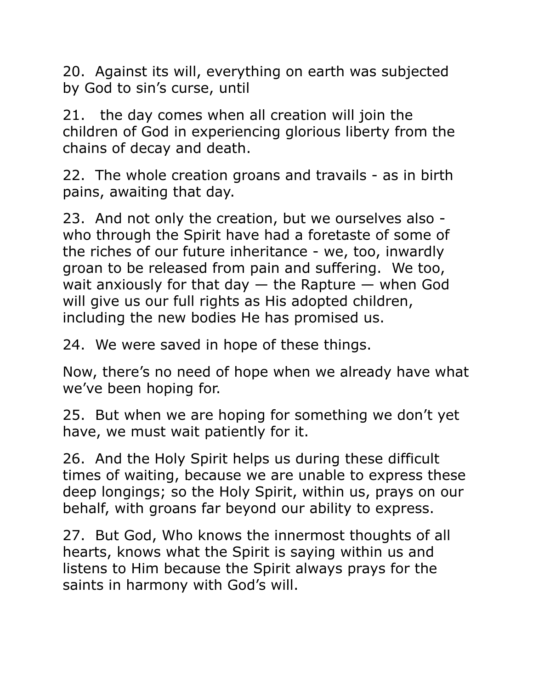20. Against its will, everything on earth was subjected by God to sin's curse, until

21. the day comes when all creation will join the children of God in experiencing glorious liberty from the chains of decay and death.

22. The whole creation groans and travails - as in birth pains, awaiting that day.

23. And not only the creation, but we ourselves also who through the Spirit have had a foretaste of some of the riches of our future inheritance - we, too, inwardly groan to be released from pain and suffering. We too, wait anxiously for that day  $-$  the Rapture  $-$  when God will give us our full rights as His adopted children, including the new bodies He has promised us.

24. We were saved in hope of these things.

Now, there's no need of hope when we already have what we've been hoping for.

25. But when we are hoping for something we don't yet have, we must wait patiently for it.

26. And the Holy Spirit helps us during these difficult times of waiting, because we are unable to express these deep longings; so the Holy Spirit, within us, prays on our behalf, with groans far beyond our ability to express.

27. But God, Who knows the innermost thoughts of all hearts, knows what the Spirit is saying within us and listens to Him because the Spirit always prays for the saints in harmony with God's will.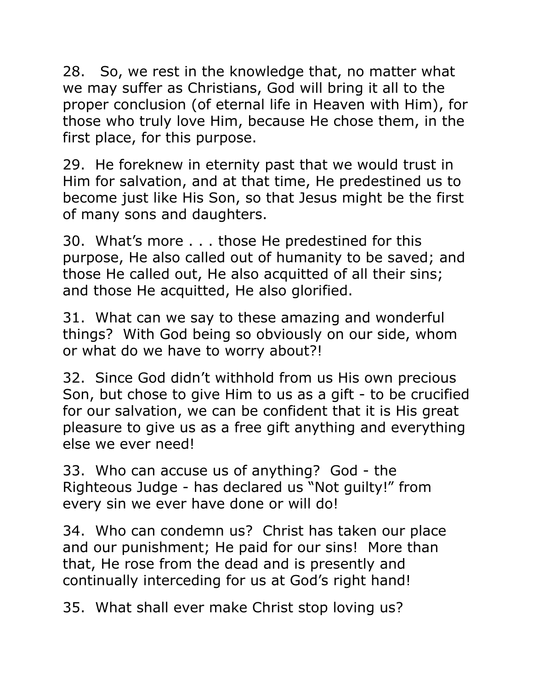28. So, we rest in the knowledge that, no matter what we may suffer as Christians, God will bring it all to the proper conclusion (of eternal life in Heaven with Him), for those who truly love Him, because He chose them, in the first place, for this purpose.

29. He foreknew in eternity past that we would trust in Him for salvation, and at that time, He predestined us to become just like His Son, so that Jesus might be the first of many sons and daughters.

30. What's more . . . those He predestined for this purpose, He also called out of humanity to be saved; and those He called out, He also acquitted of all their sins; and those He acquitted, He also glorified.

31. What can we say to these amazing and wonderful things? With God being so obviously on our side, whom or what do we have to worry about?!

32. Since God didn't withhold from us His own precious Son, but chose to give Him to us as a gift - to be crucified for our salvation, we can be confident that it is His great pleasure to give us as a free gift anything and everything else we ever need!

33. Who can accuse us of anything? God - the Righteous Judge - has declared us "Not guilty!" from every sin we ever have done or will do!

34. Who can condemn us? Christ has taken our place and our punishment; He paid for our sins! More than that, He rose from the dead and is presently and continually interceding for us at God's right hand!

35. What shall ever make Christ stop loving us?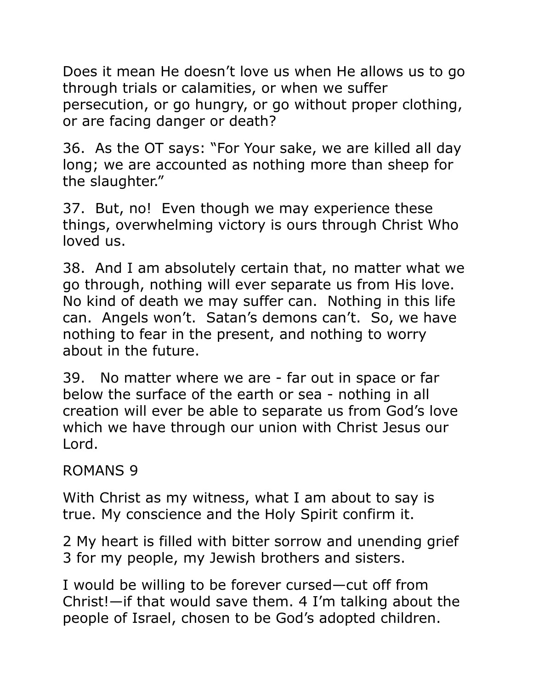Does it mean He doesn't love us when He allows us to go through trials or calamities, or when we suffer persecution, or go hungry, or go without proper clothing, or are facing danger or death?

36. As the OT says: "For Your sake, we are killed all day long; we are accounted as nothing more than sheep for the slaughter."

37. But, no! Even though we may experience these things, overwhelming victory is ours through Christ Who loved us.

38. And I am absolutely certain that, no matter what we go through, nothing will ever separate us from His love. No kind of death we may suffer can. Nothing in this life can. Angels won't. Satan's demons can't. So, we have nothing to fear in the present, and nothing to worry about in the future.

39. No matter where we are - far out in space or far below the surface of the earth or sea - nothing in all creation will ever be able to separate us from God's love which we have through our union with Christ Jesus our Lord.

#### ROMANS 9

With Christ as my witness, what I am about to say is true. My conscience and the Holy Spirit confirm it.

2 My heart is filled with bitter sorrow and unending grief 3 for my people, my Jewish brothers and sisters.

I would be willing to be forever cursed—cut off from Christ!—if that would save them. 4 I'm talking about the people of Israel, chosen to be God's adopted children.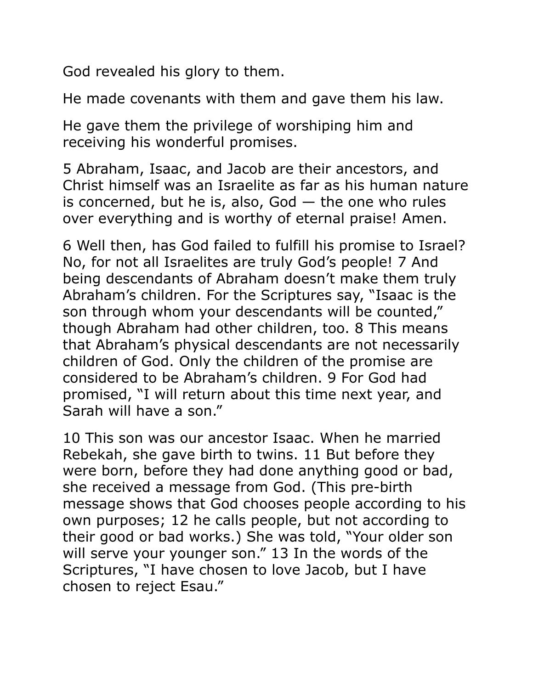God revealed his glory to them.

He made covenants with them and gave them his law.

He gave them the privilege of worshiping him and receiving his wonderful promises.

5 Abraham, Isaac, and Jacob are their ancestors, and Christ himself was an Israelite as far as his human nature is concerned, but he is, also,  $God - the$  one who rules over everything and is worthy of eternal praise! Amen.

6 Well then, has God failed to fulfill his promise to Israel? No, for not all Israelites are truly God's people! 7 And being descendants of Abraham doesn't make them truly Abraham's children. For the Scriptures say, "Isaac is the son through whom your descendants will be counted," though Abraham had other children, too. 8 This means that Abraham's physical descendants are not necessarily children of God. Only the children of the promise are considered to be Abraham's children. 9 For God had promised, "I will return about this time next year, and Sarah will have a son."

10 This son was our ancestor Isaac. When he married Rebekah, she gave birth to twins. 11 But before they were born, before they had done anything good or bad, she received a message from God. (This pre-birth message shows that God chooses people according to his own purposes; 12 he calls people, but not according to their good or bad works.) She was told, "Your older son will serve your younger son." 13 In the words of the Scriptures, "I have chosen to love Jacob, but I have chosen to reject Esau."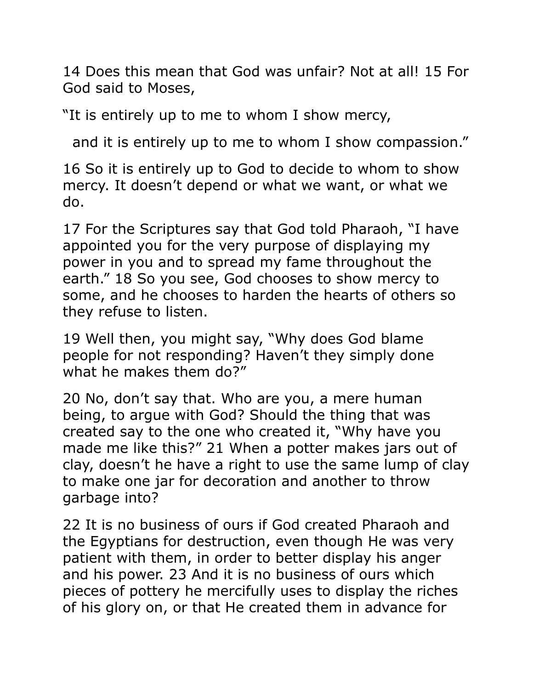14 Does this mean that God was unfair? Not at all! 15 For God said to Moses,

"It is entirely up to me to whom I show mercy,

and it is entirely up to me to whom I show compassion."

16 So it is entirely up to God to decide to whom to show mercy. It doesn't depend or what we want, or what we do.

17 For the Scriptures say that God told Pharaoh, "I have appointed you for the very purpose of displaying my power in you and to spread my fame throughout the earth." 18 So you see, God chooses to show mercy to some, and he chooses to harden the hearts of others so they refuse to listen.

19 Well then, you might say, "Why does God blame people for not responding? Haven't they simply done what he makes them do?"

20 No, don't say that. Who are you, a mere human being, to argue with God? Should the thing that was created say to the one who created it, "Why have you made me like this?" 21 When a potter makes jars out of clay, doesn't he have a right to use the same lump of clay to make one jar for decoration and another to throw garbage into?

22 It is no business of ours if God created Pharaoh and the Egyptians for destruction, even though He was very patient with them, in order to better display his anger and his power. 23 And it is no business of ours which pieces of pottery he mercifully uses to display the riches of his glory on, or that He created them in advance for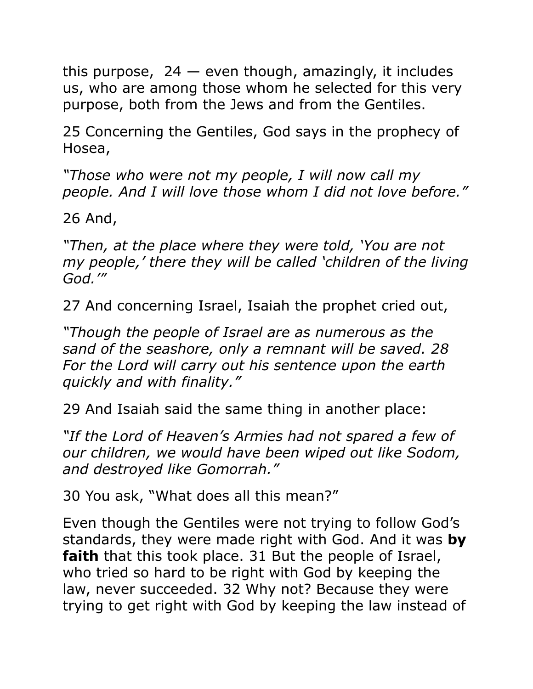this purpose,  $24$  – even though, amazingly, it includes us, who are among those whom he selected for this very purpose, both from the Jews and from the Gentiles.

25 Concerning the Gentiles, God says in the prophecy of Hosea,

*"Those who were not my people, I will now call my people. And I will love those whom I did not love before."* 

26 And,

*"Then, at the place where they were told, 'You are not my people,' there they will be called 'children of the living God.'"* 

27 And concerning Israel, Isaiah the prophet cried out,

*"Though the people of Israel are as numerous as the sand of the seashore, only a remnant will be saved. 28 For the Lord will carry out his sentence upon the earth quickly and with finality."* 

29 And Isaiah said the same thing in another place:

*"If the Lord of Heaven's Armies had not spared a few of our children, we would have been wiped out like Sodom, and destroyed like Gomorrah."* 

30 You ask, "What does all this mean?"

Even though the Gentiles were not trying to follow God's standards, they were made right with God. And it was **by faith** that this took place. 31 But the people of Israel, who tried so hard to be right with God by keeping the law, never succeeded. 32 Why not? Because they were trying to get right with God by keeping the law instead of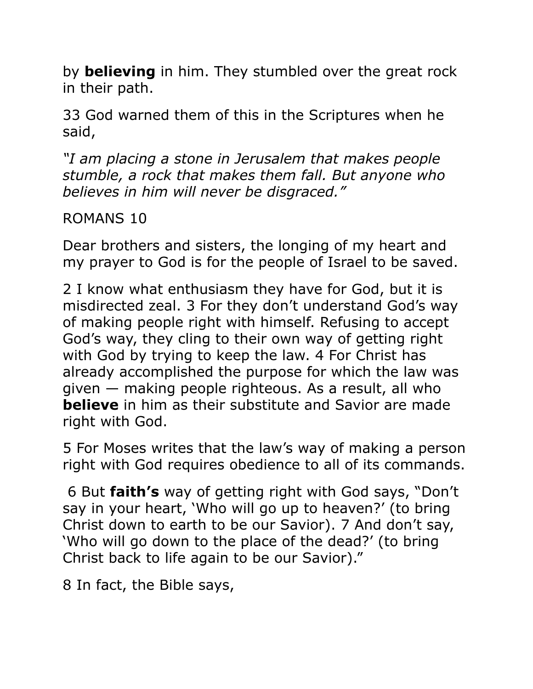by **believing** in him. They stumbled over the great rock in their path.

33 God warned them of this in the Scriptures when he said,

*"I am placing a stone in Jerusalem that makes people stumble, a rock that makes them fall. But anyone who believes in him will never be disgraced."* 

## ROMANS 10

Dear brothers and sisters, the longing of my heart and my prayer to God is for the people of Israel to be saved.

2 I know what enthusiasm they have for God, but it is misdirected zeal. 3 For they don't understand God's way of making people right with himself. Refusing to accept God's way, they cling to their own way of getting right with God by trying to keep the law. 4 For Christ has already accomplished the purpose for which the law was given — making people righteous. As a result, all who **believe** in him as their substitute and Savior are made right with God.

5 For Moses writes that the law's way of making a person right with God requires obedience to all of its commands.

 6 But **faith's** way of getting right with God says, "Don't say in your heart, 'Who will go up to heaven?' (to bring Christ down to earth to be our Savior). 7 And don't say, 'Who will go down to the place of the dead?' (to bring Christ back to life again to be our Savior)."

8 In fact, the Bible says,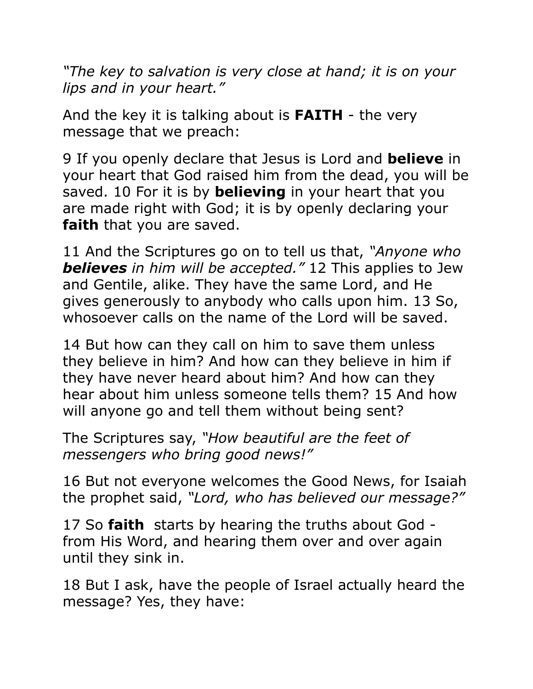*"The key to salvation is very close at hand; it is on your lips and in your heart."* 

And the key it is talking about is **FAITH** - the very message that we preach:

9 If you openly declare that Jesus is Lord and **believe** in your heart that God raised him from the dead, you will be saved. 10 For it is by **believing** in your heart that you are made right with God; it is by openly declaring your **faith** that you are saved.

11 And the Scriptures go on to tell us that, *"Anyone who believes in him will be accepted."* 12 This applies to Jew and Gentile, alike. They have the same Lord, and He gives generously to anybody who calls upon him. 13 So, whosoever calls on the name of the Lord will be saved.

14 But how can they call on him to save them unless they believe in him? And how can they believe in him if they have never heard about him? And how can they hear about him unless someone tells them? 15 And how will anyone go and tell them without being sent?

The Scriptures say, *"How beautiful are the feet of messengers who bring good news!"* 

16 But not everyone welcomes the Good News, for Isaiah the prophet said, *"Lord, who has believed our message?"*

17 So **faith** starts by hearing the truths about God from His Word, and hearing them over and over again until they sink in.

18 But I ask, have the people of Israel actually heard the message? Yes, they have: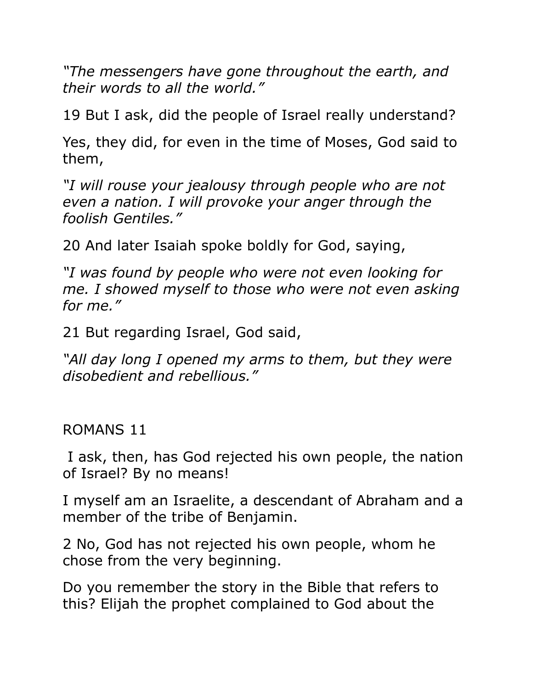*"The messengers have gone throughout the earth, and their words to all the world."* 

19 But I ask, did the people of Israel really understand?

Yes, they did, for even in the time of Moses, God said to them,

*"I will rouse your jealousy through people who are not even a nation. I will provoke your anger through the foolish Gentiles."* 

20 And later Isaiah spoke boldly for God, saying,

*"I was found by people who were not even looking for me. I showed myself to those who were not even asking for me."* 

21 But regarding Israel, God said,

*"All day long I opened my arms to them, but they were disobedient and rebellious."* 

#### ROMANS 11

 I ask, then, has God rejected his own people, the nation of Israel? By no means!

I myself am an Israelite, a descendant of Abraham and a member of the tribe of Benjamin.

2 No, God has not rejected his own people, whom he chose from the very beginning.

Do you remember the story in the Bible that refers to this? Elijah the prophet complained to God about the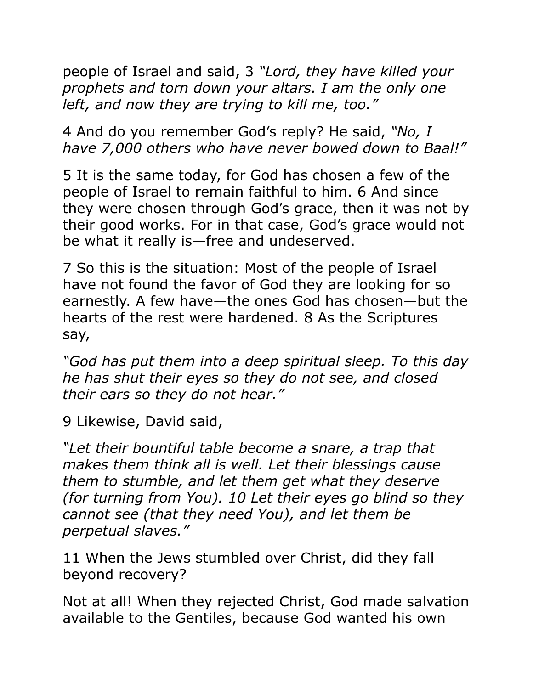people of Israel and said, 3 *"Lord, they have killed your prophets and torn down your altars. I am the only one left, and now they are trying to kill me, too."* 

4 And do you remember God's reply? He said, *"No, I have 7,000 others who have never bowed down to Baal!"*

5 It is the same today, for God has chosen a few of the people of Israel to remain faithful to him. 6 And since they were chosen through God's grace, then it was not by their good works. For in that case, God's grace would not be what it really is—free and undeserved.

7 So this is the situation: Most of the people of Israel have not found the favor of God they are looking for so earnestly. A few have—the ones God has chosen—but the hearts of the rest were hardened. 8 As the Scriptures say,

*"God has put them into a deep spiritual sleep. To this day he has shut their eyes so they do not see, and closed their ears so they do not hear."* 

9 Likewise, David said,

*"Let their bountiful table become a snare, a trap that makes them think all is well. Let their blessings cause them to stumble, and let them get what they deserve (for turning from You). 10 Let their eyes go blind so they cannot see (that they need You), and let them be perpetual slaves."* 

11 When the Jews stumbled over Christ, did they fall beyond recovery?

Not at all! When they rejected Christ, God made salvation available to the Gentiles, because God wanted his own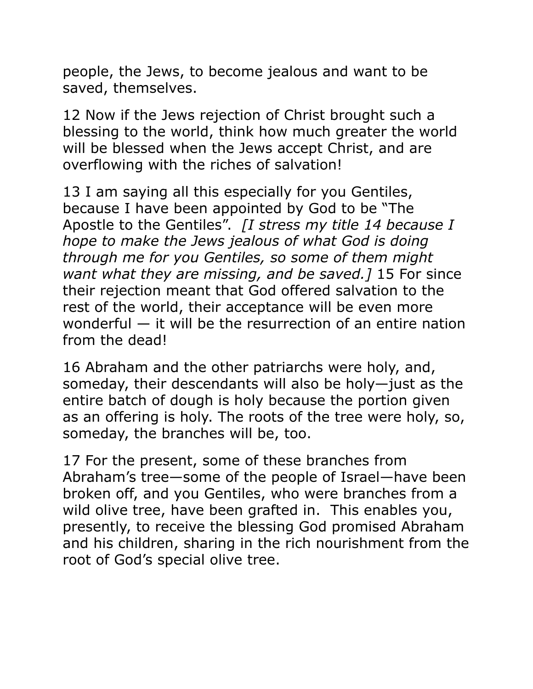people, the Jews, to become jealous and want to be saved, themselves.

12 Now if the Jews rejection of Christ brought such a blessing to the world, think how much greater the world will be blessed when the Jews accept Christ, and are overflowing with the riches of salvation!

13 I am saying all this especially for you Gentiles, because I have been appointed by God to be "The Apostle to the Gentiles". *[I stress my title 14 because I hope to make the Jews jealous of what God is doing through me for you Gentiles, so some of them might want what they are missing, and be saved.]* 15 For since their rejection meant that God offered salvation to the rest of the world, their acceptance will be even more wonderful — it will be the resurrection of an entire nation from the dead!

16 Abraham and the other patriarchs were holy, and, someday, their descendants will also be holy—just as the entire batch of dough is holy because the portion given as an offering is holy. The roots of the tree were holy, so, someday, the branches will be, too.

17 For the present, some of these branches from Abraham's tree—some of the people of Israel—have been broken off, and you Gentiles, who were branches from a wild olive tree, have been grafted in. This enables you, presently, to receive the blessing God promised Abraham and his children, sharing in the rich nourishment from the root of God's special olive tree.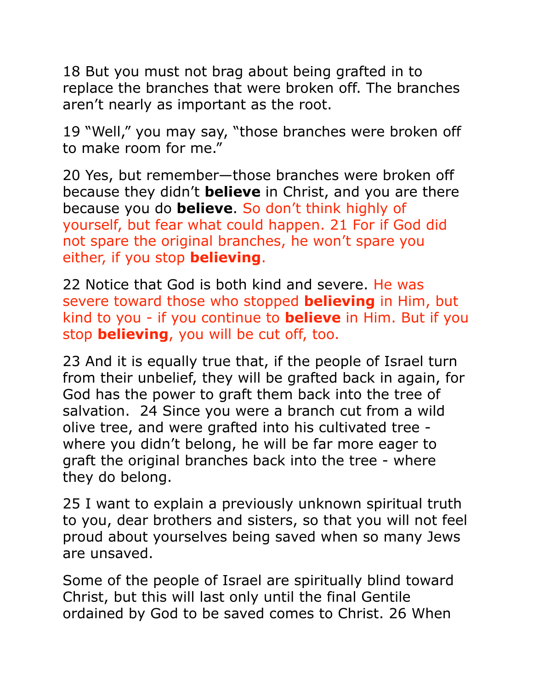18 But you must not brag about being grafted in to replace the branches that were broken off. The branches aren't nearly as important as the root.

19 "Well," you may say, "those branches were broken off to make room for me."

20 Yes, but remember—those branches were broken off because they didn't **believe** in Christ, and you are there because you do **believe**. So don't think highly of yourself, but fear what could happen. 21 For if God did not spare the original branches, he won't spare you either, if you stop **believing**.

22 Notice that God is both kind and severe. He was severe toward those who stopped **believing** in Him, but kind to you - if you continue to **believe** in Him. But if you stop **believing**, you will be cut off, too.

23 And it is equally true that, if the people of Israel turn from their unbelief, they will be grafted back in again, for God has the power to graft them back into the tree of salvation. 24 Since you were a branch cut from a wild olive tree, and were grafted into his cultivated tree where you didn't belong, he will be far more eager to graft the original branches back into the tree - where they do belong.

25 I want to explain a previously unknown spiritual truth to you, dear brothers and sisters, so that you will not feel proud about yourselves being saved when so many Jews are unsaved.

Some of the people of Israel are spiritually blind toward Christ, but this will last only until the final Gentile ordained by God to be saved comes to Christ. 26 When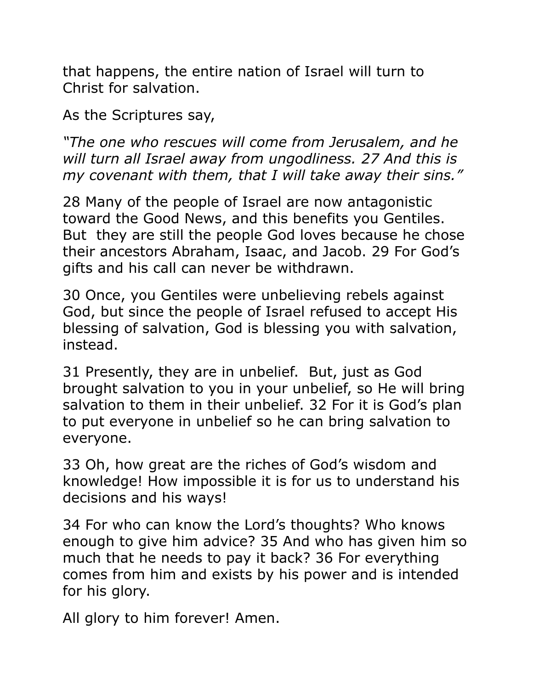that happens, the entire nation of Israel will turn to Christ for salvation.

As the Scriptures say,

*"The one who rescues will come from Jerusalem, and he will turn all Israel away from ungodliness. 27 And this is my covenant with them, that I will take away their sins."* 

28 Many of the people of Israel are now antagonistic toward the Good News, and this benefits you Gentiles. But they are still the people God loves because he chose their ancestors Abraham, Isaac, and Jacob. 29 For God's gifts and his call can never be withdrawn.

30 Once, you Gentiles were unbelieving rebels against God, but since the people of Israel refused to accept His blessing of salvation, God is blessing you with salvation, instead.

31 Presently, they are in unbelief. But, just as God brought salvation to you in your unbelief, so He will bring salvation to them in their unbelief. 32 For it is God's plan to put everyone in unbelief so he can bring salvation to everyone.

33 Oh, how great are the riches of God's wisdom and knowledge! How impossible it is for us to understand his decisions and his ways!

34 For who can know the Lord's thoughts? Who knows enough to give him advice? 35 And who has given him so much that he needs to pay it back? 36 For everything comes from him and exists by his power and is intended for his glory.

All glory to him forever! Amen.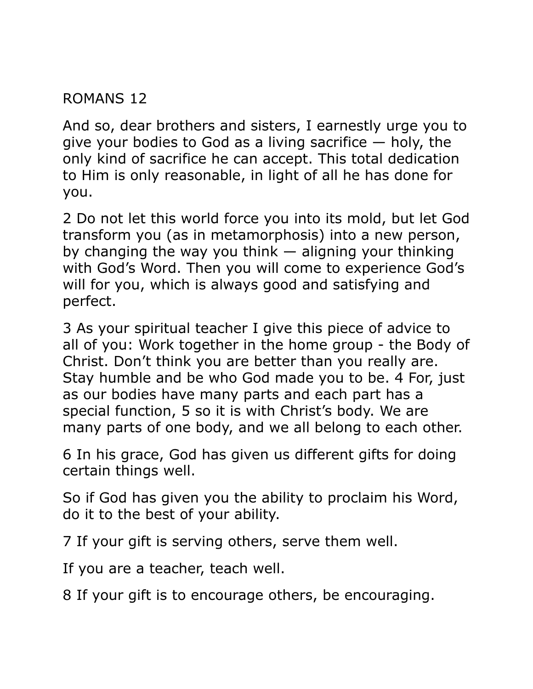ROMANS 12

And so, dear brothers and sisters, I earnestly urge you to give your bodies to God as a living sacrifice  $-$  holy, the only kind of sacrifice he can accept. This total dedication to Him is only reasonable, in light of all he has done for you.

2 Do not let this world force you into its mold, but let God transform you (as in metamorphosis) into a new person, by changing the way you think  $-$  aligning your thinking with God's Word. Then you will come to experience God's will for you, which is always good and satisfying and perfect.

3 As your spiritual teacher I give this piece of advice to all of you: Work together in the home group - the Body of Christ. Don't think you are better than you really are. Stay humble and be who God made you to be. 4 For, just as our bodies have many parts and each part has a special function, 5 so it is with Christ's body. We are many parts of one body, and we all belong to each other.

6 In his grace, God has given us different gifts for doing certain things well.

So if God has given you the ability to proclaim his Word, do it to the best of your ability.

7 If your gift is serving others, serve them well.

If you are a teacher, teach well.

8 If your gift is to encourage others, be encouraging.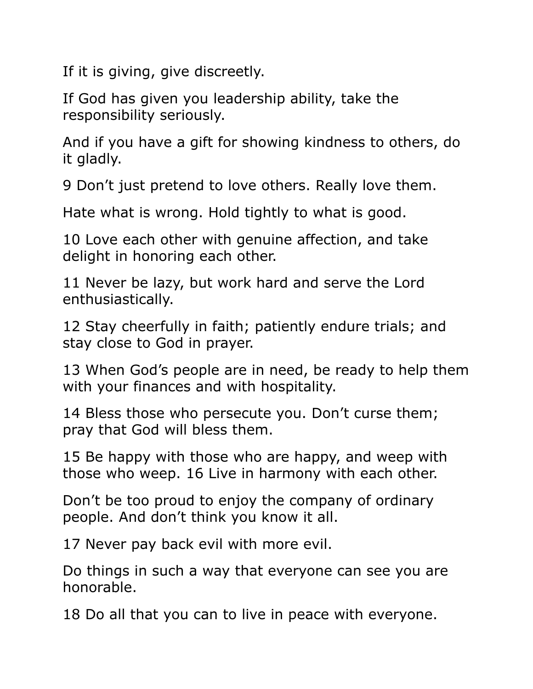If it is giving, give discreetly.

If God has given you leadership ability, take the responsibility seriously.

And if you have a gift for showing kindness to others, do it gladly.

9 Don't just pretend to love others. Really love them.

Hate what is wrong. Hold tightly to what is good.

10 Love each other with genuine affection, and take delight in honoring each other.

11 Never be lazy, but work hard and serve the Lord enthusiastically.

12 Stay cheerfully in faith; patiently endure trials; and stay close to God in prayer.

13 When God's people are in need, be ready to help them with your finances and with hospitality.

14 Bless those who persecute you. Don't curse them; pray that God will bless them.

15 Be happy with those who are happy, and weep with those who weep. 16 Live in harmony with each other.

Don't be too proud to enjoy the company of ordinary people. And don't think you know it all.

17 Never pay back evil with more evil.

Do things in such a way that everyone can see you are honorable.

18 Do all that you can to live in peace with everyone.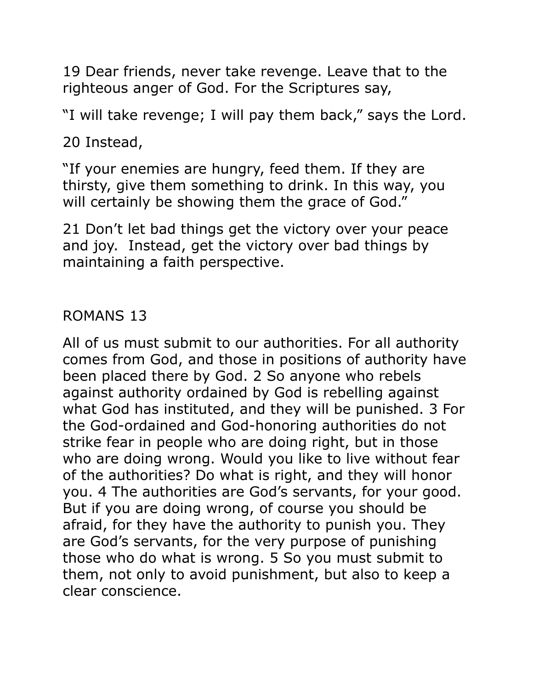19 Dear friends, never take revenge. Leave that to the righteous anger of God. For the Scriptures say,

"I will take revenge; I will pay them back," says the Lord.

20 Instead,

"If your enemies are hungry, feed them. If they are thirsty, give them something to drink. In this way, you will certainly be showing them the grace of God."

21 Don't let bad things get the victory over your peace and joy. Instead, get the victory over bad things by maintaining a faith perspective.

### ROMANS 13

All of us must submit to our authorities. For all authority comes from God, and those in positions of authority have been placed there by God. 2 So anyone who rebels against authority ordained by God is rebelling against what God has instituted, and they will be punished. 3 For the God-ordained and God-honoring authorities do not strike fear in people who are doing right, but in those who are doing wrong. Would you like to live without fear of the authorities? Do what is right, and they will honor you. 4 The authorities are God's servants, for your good. But if you are doing wrong, of course you should be afraid, for they have the authority to punish you. They are God's servants, for the very purpose of punishing those who do what is wrong. 5 So you must submit to them, not only to avoid punishment, but also to keep a clear conscience.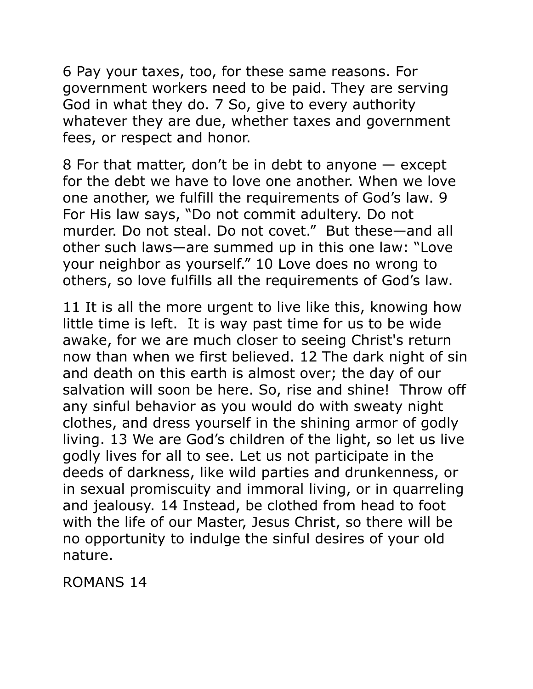6 Pay your taxes, too, for these same reasons. For government workers need to be paid. They are serving God in what they do. 7 So, give to every authority whatever they are due, whether taxes and government fees, or respect and honor.

8 For that matter, don't be in debt to anyone — except for the debt we have to love one another. When we love one another, we fulfill the requirements of God's law. 9 For His law says, "Do not commit adultery. Do not murder. Do not steal. Do not covet." But these—and all other such laws—are summed up in this one law: "Love your neighbor as yourself." 10 Love does no wrong to others, so love fulfills all the requirements of God's law.

11 It is all the more urgent to live like this, knowing how little time is left. It is way past time for us to be wide awake, for we are much closer to seeing Christ's return now than when we first believed. 12 The dark night of sin and death on this earth is almost over; the day of our salvation will soon be here. So, rise and shine! Throw off any sinful behavior as you would do with sweaty night clothes, and dress yourself in the shining armor of godly living. 13 We are God's children of the light, so let us live godly lives for all to see. Let us not participate in the deeds of darkness, like wild parties and drunkenness, or in sexual promiscuity and immoral living, or in quarreling and jealousy. 14 Instead, be clothed from head to foot with the life of our Master, Jesus Christ, so there will be no opportunity to indulge the sinful desires of your old nature.

ROMANS 14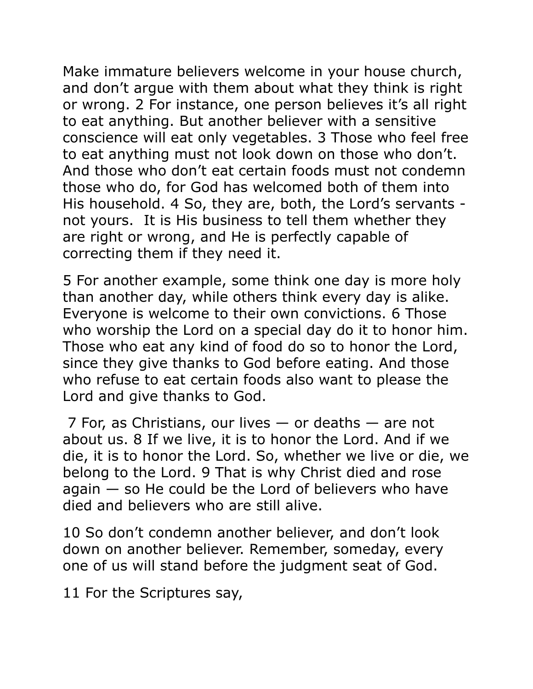Make immature believers welcome in your house church, and don't argue with them about what they think is right or wrong. 2 For instance, one person believes it's all right to eat anything. But another believer with a sensitive conscience will eat only vegetables. 3 Those who feel free to eat anything must not look down on those who don't. And those who don't eat certain foods must not condemn those who do, for God has welcomed both of them into His household. 4 So, they are, both, the Lord's servants not yours. It is His business to tell them whether they are right or wrong, and He is perfectly capable of correcting them if they need it.

5 For another example, some think one day is more holy than another day, while others think every day is alike. Everyone is welcome to their own convictions. 6 Those who worship the Lord on a special day do it to honor him. Those who eat any kind of food do so to honor the Lord, since they give thanks to God before eating. And those who refuse to eat certain foods also want to please the Lord and give thanks to God.

 7 For, as Christians, our lives — or deaths — are not about us. 8 If we live, it is to honor the Lord. And if we die, it is to honor the Lord. So, whether we live or die, we belong to the Lord. 9 That is why Christ died and rose  $a$ gain  $-$  so He could be the Lord of believers who have died and believers who are still alive.

10 So don't condemn another believer, and don't look down on another believer. Remember, someday, every one of us will stand before the judgment seat of God.

11 For the Scriptures say,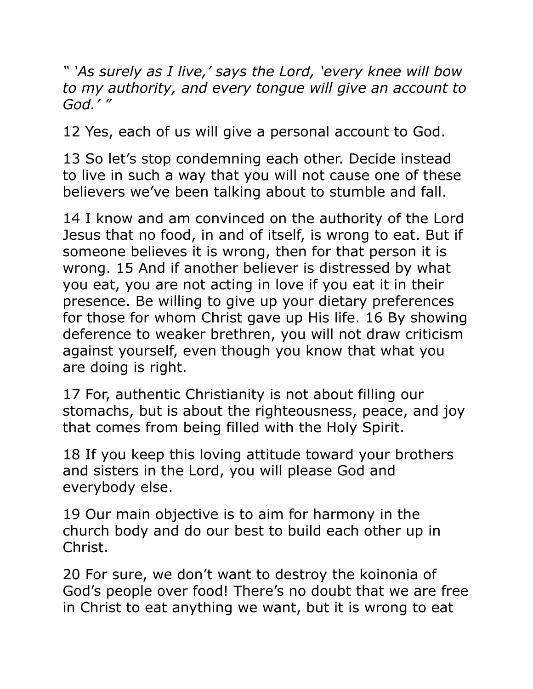*" 'As surely as I live,' says the Lord, 'every knee will bow to my authority, and every tongue will give an account to God.' "* 

12 Yes, each of us will give a personal account to God.

13 So let's stop condemning each other. Decide instead to live in such a way that you will not cause one of these believers we've been talking about to stumble and fall.

14 I know and am convinced on the authority of the Lord Jesus that no food, in and of itself, is wrong to eat. But if someone believes it is wrong, then for that person it is wrong. 15 And if another believer is distressed by what you eat, you are not acting in love if you eat it in their presence. Be willing to give up your dietary preferences for those for whom Christ gave up His life. 16 By showing deference to weaker brethren, you will not draw criticism against yourself, even though you know that what you are doing is right.

17 For, authentic Christianity is not about filling our stomachs, but is about the righteousness, peace, and joy that comes from being filled with the Holy Spirit.

18 If you keep this loving attitude toward your brothers and sisters in the Lord, you will please God and everybody else.

19 Our main objective is to aim for harmony in the church body and do our best to build each other up in Christ.

20 For sure, we don't want to destroy the koinonia of God's people over food! There's no doubt that we are free in Christ to eat anything we want, but it is wrong to eat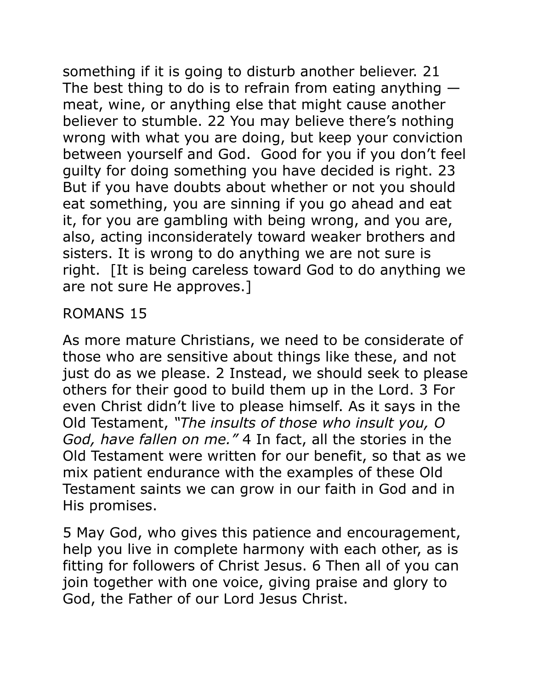something if it is going to disturb another believer. 21 The best thing to do is to refrain from eating anything  $$ meat, wine, or anything else that might cause another believer to stumble. 22 You may believe there's nothing wrong with what you are doing, but keep your conviction between yourself and God. Good for you if you don't feel guilty for doing something you have decided is right. 23 But if you have doubts about whether or not you should eat something, you are sinning if you go ahead and eat it, for you are gambling with being wrong, and you are, also, acting inconsiderately toward weaker brothers and sisters. It is wrong to do anything we are not sure is right. [It is being careless toward God to do anything we are not sure He approves.]

## ROMANS 15

As more mature Christians, we need to be considerate of those who are sensitive about things like these, and not just do as we please. 2 Instead, we should seek to please others for their good to build them up in the Lord. 3 For even Christ didn't live to please himself. As it says in the Old Testament, *"The insults of those who insult you, O God, have fallen on me."* 4 In fact, all the stories in the Old Testament were written for our benefit, so that as we mix patient endurance with the examples of these Old Testament saints we can grow in our faith in God and in His promises.

5 May God, who gives this patience and encouragement, help you live in complete harmony with each other, as is fitting for followers of Christ Jesus. 6 Then all of you can join together with one voice, giving praise and glory to God, the Father of our Lord Jesus Christ.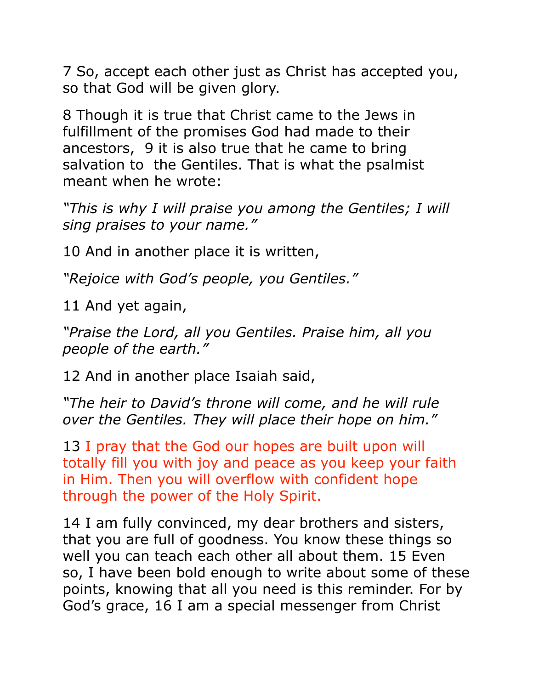7 So, accept each other just as Christ has accepted you, so that God will be given glory.

8 Though it is true that Christ came to the Jews in fulfillment of the promises God had made to their ancestors, 9 it is also true that he came to bring salvation to the Gentiles. That is what the psalmist meant when he wrote:

*"This is why I will praise you among the Gentiles; I will sing praises to your name."* 

10 And in another place it is written,

*"Rejoice with God's people, you Gentiles."* 

11 And yet again,

*"Praise the Lord, all you Gentiles. Praise him, all you people of the earth."* 

12 And in another place Isaiah said,

*"The heir to David's throne will come, and he will rule over the Gentiles. They will place their hope on him."* 

13 I pray that the God our hopes are built upon will totally fill you with joy and peace as you keep your faith in Him. Then you will overflow with confident hope through the power of the Holy Spirit.

14 I am fully convinced, my dear brothers and sisters, that you are full of goodness. You know these things so well you can teach each other all about them. 15 Even so, I have been bold enough to write about some of these points, knowing that all you need is this reminder. For by God's grace, 16 I am a special messenger from Christ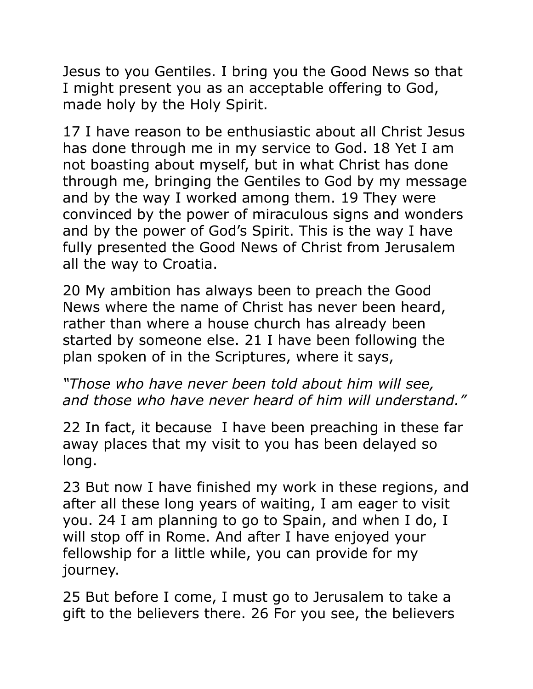Jesus to you Gentiles. I bring you the Good News so that I might present you as an acceptable offering to God, made holy by the Holy Spirit.

17 I have reason to be enthusiastic about all Christ Jesus has done through me in my service to God. 18 Yet I am not boasting about myself, but in what Christ has done through me, bringing the Gentiles to God by my message and by the way I worked among them. 19 They were convinced by the power of miraculous signs and wonders and by the power of God's Spirit. This is the way I have fully presented the Good News of Christ from Jerusalem all the way to Croatia.

20 My ambition has always been to preach the Good News where the name of Christ has never been heard, rather than where a house church has already been started by someone else. 21 I have been following the plan spoken of in the Scriptures, where it says,

*"Those who have never been told about him will see, and those who have never heard of him will understand."* 

22 In fact, it because I have been preaching in these far away places that my visit to you has been delayed so long.

23 But now I have finished my work in these regions, and after all these long years of waiting, I am eager to visit you. 24 I am planning to go to Spain, and when I do, I will stop off in Rome. And after I have enjoyed your fellowship for a little while, you can provide for my journey.

25 But before I come, I must go to Jerusalem to take a gift to the believers there. 26 For you see, the believers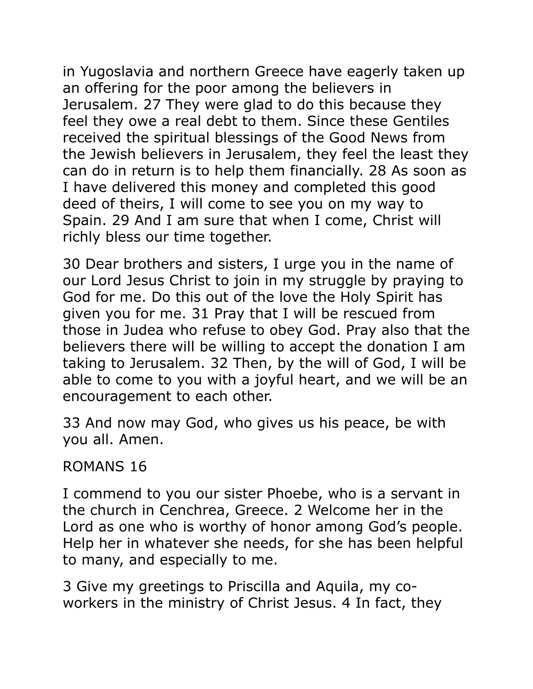in Yugoslavia and northern Greece have eagerly taken up an offering for the poor among the believers in Jerusalem. 27 They were glad to do this because they feel they owe a real debt to them. Since these Gentiles received the spiritual blessings of the Good News from the Jewish believers in Jerusalem, they feel the least they can do in return is to help them financially. 28 As soon as I have delivered this money and completed this good deed of theirs, I will come to see you on my way to Spain. 29 And I am sure that when I come, Christ will richly bless our time together.

30 Dear brothers and sisters, I urge you in the name of our Lord Jesus Christ to join in my struggle by praying to God for me. Do this out of the love the Holy Spirit has given you for me. 31 Pray that I will be rescued from those in Judea who refuse to obey God. Pray also that the believers there will be willing to accept the donation I am taking to Jerusalem. 32 Then, by the will of God, I will be able to come to you with a joyful heart, and we will be an encouragement to each other.

33 And now may God, who gives us his peace, be with you all. Amen.

#### ROMANS 16

I commend to you our sister Phoebe, who is a servant in the church in Cenchrea, Greece. 2 Welcome her in the Lord as one who is worthy of honor among God's people. Help her in whatever she needs, for she has been helpful to many, and especially to me.

3 Give my greetings to Priscilla and Aquila, my coworkers in the ministry of Christ Jesus. 4 In fact, they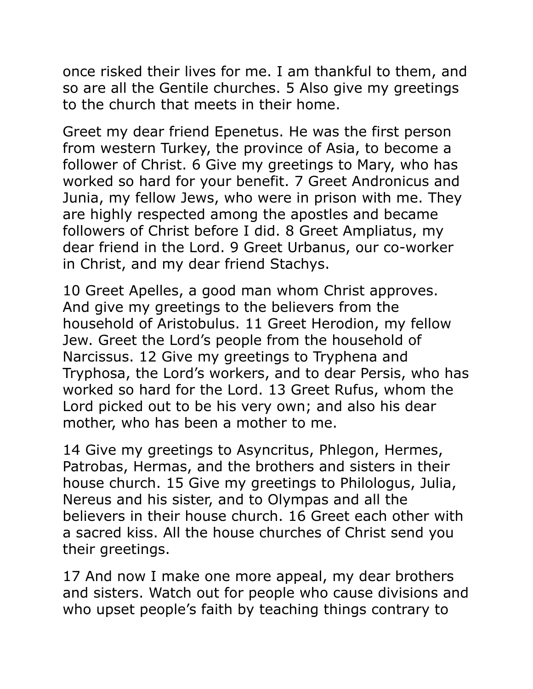once risked their lives for me. I am thankful to them, and so are all the Gentile churches. 5 Also give my greetings to the church that meets in their home.

Greet my dear friend Epenetus. He was the first person from western Turkey, the province of Asia, to become a follower of Christ. 6 Give my greetings to Mary, who has worked so hard for your benefit. 7 Greet Andronicus and Junia, my fellow Jews, who were in prison with me. They are highly respected among the apostles and became followers of Christ before I did. 8 Greet Ampliatus, my dear friend in the Lord. 9 Greet Urbanus, our co-worker in Christ, and my dear friend Stachys.

10 Greet Apelles, a good man whom Christ approves. And give my greetings to the believers from the household of Aristobulus. 11 Greet Herodion, my fellow Jew. Greet the Lord's people from the household of Narcissus. 12 Give my greetings to Tryphena and Tryphosa, the Lord's workers, and to dear Persis, who has worked so hard for the Lord. 13 Greet Rufus, whom the Lord picked out to be his very own; and also his dear mother, who has been a mother to me.

14 Give my greetings to Asyncritus, Phlegon, Hermes, Patrobas, Hermas, and the brothers and sisters in their house church. 15 Give my greetings to Philologus, Julia, Nereus and his sister, and to Olympas and all the believers in their house church. 16 Greet each other with a sacred kiss. All the house churches of Christ send you their greetings.

17 And now I make one more appeal, my dear brothers and sisters. Watch out for people who cause divisions and who upset people's faith by teaching things contrary to